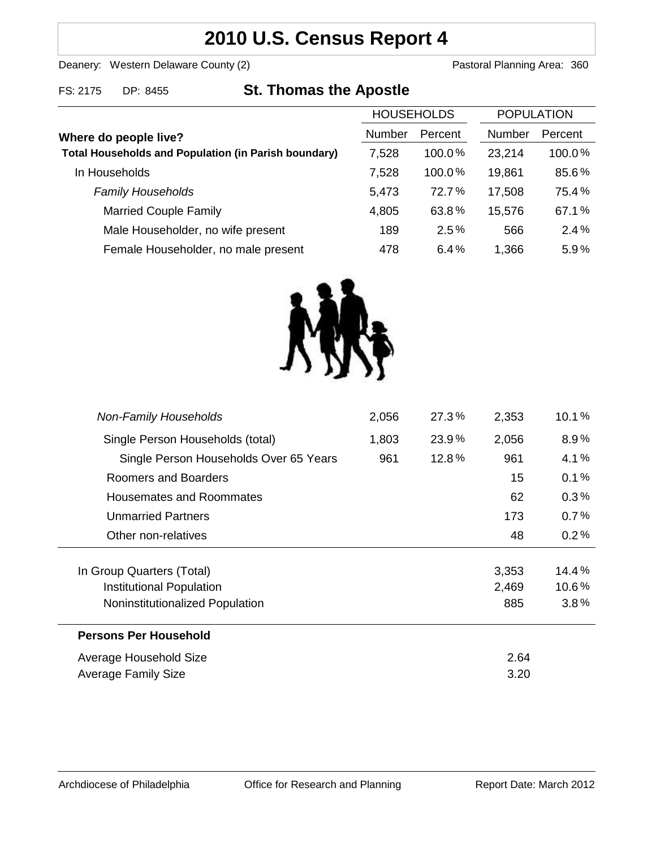# **2010 U.S. Census Report 4**

Deanery: Western Delaware County (2) Deanery: Western Delaware County (2)

## FS: 2175 DP: 8455 **St. Thomas the Apostle**

|                                                             | <b>HOUSEHOLDS</b> |           | <b>POPULATION</b> |         |
|-------------------------------------------------------------|-------------------|-----------|-------------------|---------|
| Where do people live?                                       | <b>Number</b>     | Percent   | <b>Number</b>     | Percent |
| <b>Total Households and Population (in Parish boundary)</b> | 7,528             | $100.0\%$ | 23,214            | 100.0%  |
| In Households                                               | 7,528             | 100.0%    | 19,861            | 85.6%   |
| <b>Family Households</b>                                    | 5,473             | $72.7\%$  | 17,508            | 75.4%   |
| <b>Married Couple Family</b>                                | 4,805             | 63.8%     | 15,576            | 67.1%   |
| Male Householder, no wife present                           | 189               | 2.5%      | 566               | 2.4%    |
| Female Householder, no male present                         | 478               | 6.4%      | 1,366             | 5.9%    |



| <b>Non-Family Households</b>           | 2,056 | 27.3% | 2,353 | 10.1%   |
|----------------------------------------|-------|-------|-------|---------|
| Single Person Households (total)       | 1,803 | 23.9% | 2,056 | $8.9\%$ |
| Single Person Households Over 65 Years | 961   | 12.8% | 961   | 4.1%    |
| Roomers and Boarders                   |       |       | 15    | 0.1%    |
| Housemates and Roommates               |       |       | 62    | $0.3\%$ |
| <b>Unmarried Partners</b>              |       |       | 173   | 0.7%    |
| Other non-relatives                    |       |       | 48    | 0.2%    |
| In Group Quarters (Total)              |       |       | 3,353 | 14.4%   |
| Institutional Population               |       |       | 2,469 | 10.6%   |
| Noninstitutionalized Population        |       |       | 885   | 3.8%    |
| <b>Persons Per Household</b>           |       |       |       |         |
| Average Household Size                 | 2.64  |       |       |         |
| Average Family Size                    | 3.20  |       |       |         |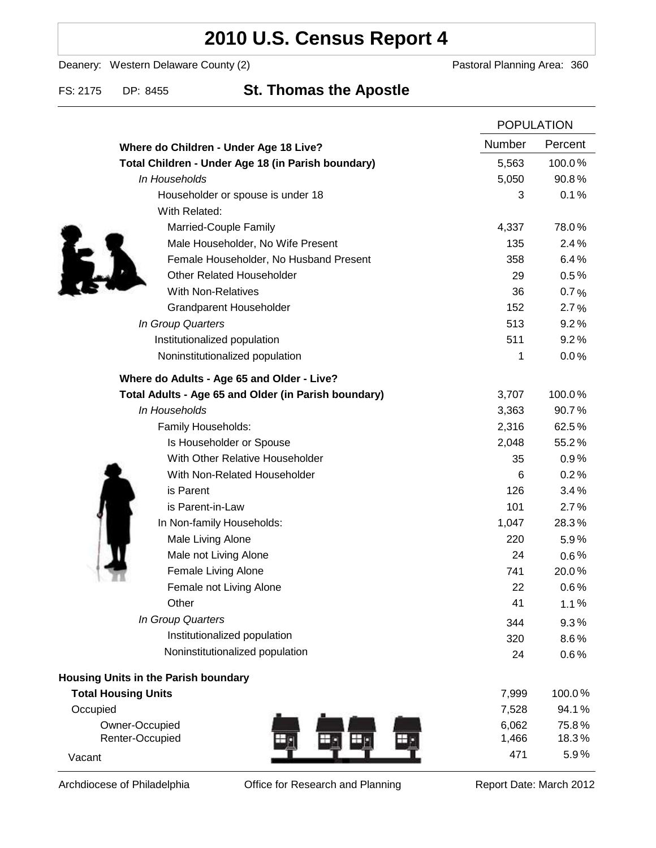## **2010 U.S. Census Report 4**

Deanery: Western Delaware County (2) Deanery: Western Delaware County (2)

### FS: 2175 DP: 8455 **St. Thomas the Apostle**

|                                                      | <b>POPULATION</b> |         |
|------------------------------------------------------|-------------------|---------|
| Where do Children - Under Age 18 Live?               | Number            | Percent |
| Total Children - Under Age 18 (in Parish boundary)   | 5,563             | 100.0%  |
| In Households                                        | 5,050             | 90.8%   |
| Householder or spouse is under 18                    | 3                 | 0.1%    |
| With Related:                                        |                   |         |
| Married-Couple Family                                | 4,337             | 78.0%   |
| Male Householder, No Wife Present                    | 135               | 2.4%    |
| Female Householder, No Husband Present               | 358               | 6.4%    |
| <b>Other Related Householder</b>                     | 29                | 0.5%    |
| <b>With Non-Relatives</b>                            | 36                | 0.7%    |
| <b>Grandparent Householder</b>                       | 152               | 2.7%    |
| In Group Quarters                                    | 513               | 9.2%    |
| Institutionalized population                         | 511               | 9.2%    |
| Noninstitutionalized population                      | 1                 | 0.0%    |
| Where do Adults - Age 65 and Older - Live?           |                   |         |
| Total Adults - Age 65 and Older (in Parish boundary) | 3,707             | 100.0%  |
| In Households                                        | 3,363             | 90.7%   |
| Family Households:                                   | 2,316             | 62.5%   |
| Is Householder or Spouse                             | 2,048             | 55.2%   |
| With Other Relative Householder                      | 35                | 0.9%    |
| With Non-Related Householder                         | 6                 | 0.2%    |
| is Parent                                            | 126               | 3.4%    |
| is Parent-in-Law                                     | 101               | 2.7%    |
| In Non-family Households:                            | 1,047             | 28.3%   |
| Male Living Alone                                    | 220               | 5.9%    |
| Male not Living Alone                                | 24                | $0.6\%$ |
| Female Living Alone                                  | 741               | 20.0%   |
| Female not Living Alone                              | 22                | 0.6%    |
| Other                                                | 41                | 1.1%    |
| In Group Quarters                                    | 344               | 9.3%    |
| Institutionalized population                         | 320               | 8.6%    |
| Noninstitutionalized population                      | 24                | 0.6%    |
| Housing Units in the Parish boundary                 |                   |         |
| <b>Total Housing Units</b>                           | 7,999             | 100.0%  |
| Occupied                                             | 7,528             | 94.1%   |
| Owner-Occupied                                       | 6,062             | 75.8%   |
| Renter-Occupied<br>Ш                                 | 1,466             | 18.3%   |
| Vacant                                               | 471               | 5.9%    |

Archdiocese of Philadelphia **Office for Research and Planning** Report Date: March 2012